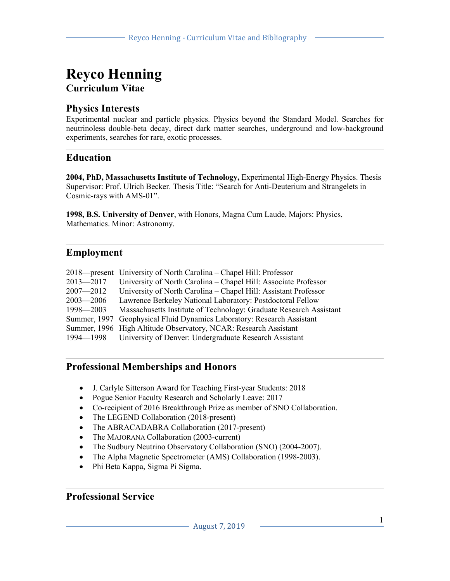## **Reyco Henning Curriculum Vitae**

## **Physics Interests**

Experimental nuclear and particle physics. Physics beyond the Standard Model. Searches for neutrinoless double-beta decay, direct dark matter searches, underground and low-background experiments, searches for rare, exotic processes.

## **Education**

**2004, PhD, Massachusetts Institute of Technology,** Experimental High-Energy Physics. Thesis Supervisor: Prof. Ulrich Becker. Thesis Title: "Search for Anti-Deuterium and Strangelets in Cosmic-rays with AMS-01".

**1998, B.S. University of Denver**, with Honors, Magna Cum Laude, Majors: Physics, Mathematics. Minor: Astronomy.

## **Employment**

|               | 2018—present University of North Carolina – Chapel Hill: Professor     |
|---------------|------------------------------------------------------------------------|
| $2013 - 2017$ | University of North Carolina – Chapel Hill: Associate Professor        |
| $2007 - 2012$ | University of North Carolina – Chapel Hill: Assistant Professor        |
| $2003 - 2006$ | Lawrence Berkeley National Laboratory: Postdoctoral Fellow             |
| $1998 - 2003$ | Massachusetts Institute of Technology: Graduate Research Assistant     |
|               | Summer, 1997 Geophysical Fluid Dynamics Laboratory: Research Assistant |
|               | Summer, 1996 High Altitude Observatory, NCAR: Research Assistant       |
|               | 1994—1998 University of Denver: Undergraduate Research Assistant       |

## **Professional Memberships and Honors**

- J. Carlyle Sitterson Award for Teaching First-year Students: 2018
- Pogue Senior Faculty Research and Scholarly Leave: 2017
- Co-recipient of 2016 Breakthrough Prize as member of SNO Collaboration.
- The LEGEND Collaboration (2018-present)
- The ABRACADABRA Collaboration (2017-present)
- The MAJORANA Collaboration (2003-current)
- The Sudbury Neutrino Observatory Collaboration (SNO) (2004-2007).
- The Alpha Magnetic Spectrometer (AMS) Collaboration (1998-2003).
- Phi Beta Kappa, Sigma Pi Sigma.

## **Professional Service**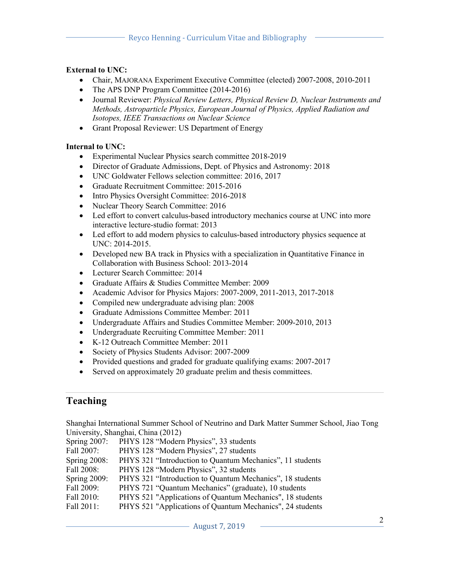#### **External to UNC:**

- Chair, MAJORANA Experiment Executive Committee (elected) 2007-2008, 2010-2011
- The APS DNP Program Committee (2014-2016)
- Journal Reviewer: *Physical Review Letters, Physical Review D, Nuclear Instruments and Methods, Astroparticle Physics, European Journal of Physics, Applied Radiation and Isotopes, IEEE Transactions on Nuclear Science*
- Grant Proposal Reviewer: US Department of Energy

#### **Internal to UNC:**

- Experimental Nuclear Physics search committee 2018-2019
- Director of Graduate Admissions, Dept. of Physics and Astronomy: 2018
- UNC Goldwater Fellows selection committee: 2016, 2017
- Graduate Recruitment Committee: 2015-2016
- Intro Physics Oversight Committee: 2016-2018
- Nuclear Theory Search Committee: 2016
- Led effort to convert calculus-based introductory mechanics course at UNC into more interactive lecture-studio format: 2013
- Led effort to add modern physics to calculus-based introductory physics sequence at UNC: 2014-2015.
- Developed new BA track in Physics with a specialization in Quantitative Finance in Collaboration with Business School: 2013-2014
- Lecturer Search Committee: 2014
- Graduate Affairs & Studies Committee Member: 2009
- Academic Advisor for Physics Majors: 2007-2009, 2011-2013, 2017-2018
- Compiled new undergraduate advising plan: 2008
- Graduate Admissions Committee Member: 2011
- Undergraduate Affairs and Studies Committee Member: 2009-2010, 2013
- Undergraduate Recruiting Committee Member: 2011
- K-12 Outreach Committee Member: 2011
- Society of Physics Students Advisor: 2007-2009
- Provided questions and graded for graduate qualifying exams: 2007-2017
- Served on approximately 20 graduate prelim and thesis committees.

## **Teaching**

Shanghai International Summer School of Neutrino and Dark Matter Summer School, Jiao Tong University, Shanghai, China (2012)

| Spring 2007:    | PHYS 128 "Modern Physics", 33 students                    |
|-----------------|-----------------------------------------------------------|
| Fall 2007:      | PHYS 128 "Modern Physics", 27 students                    |
| Spring $2008$ : | PHYS 321 "Introduction to Quantum Mechanics", 11 students |
| Fall 2008:      | PHYS 128 "Modern Physics", 32 students                    |
| Spring $2009$ : | PHYS 321 "Introduction to Quantum Mechanics", 18 students |
| Fall 2009:      | PHYS 721 "Quantum Mechanics" (graduate), 10 students      |
| Fall 2010:      | PHYS 521 "Applications of Quantum Mechanics", 18 students |
| Fall 2011:      | PHYS 521 "Applications of Quantum Mechanics", 24 students |
|                 |                                                           |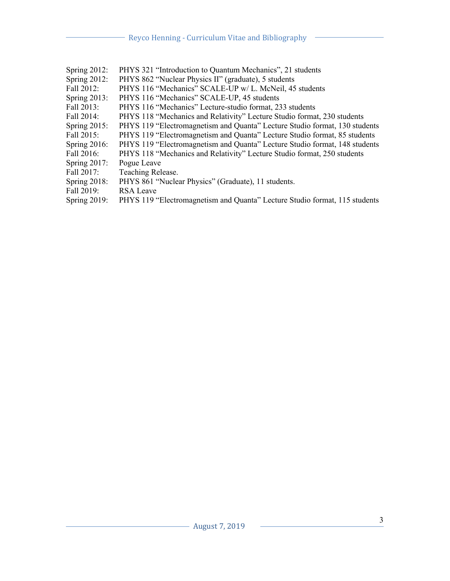| Spring 2012:    | PHYS 321 "Introduction to Quantum Mechanics", 21 students                  |
|-----------------|----------------------------------------------------------------------------|
| Spring $2012$ : | PHYS 862 "Nuclear Physics II" (graduate), 5 students                       |
| Fall 2012:      | PHYS 116 "Mechanics" SCALE-UP w/L. McNeil, 45 students                     |
| Spring 2013:    | PHYS 116 "Mechanics" SCALE-UP, 45 students                                 |
| Fall 2013:      | PHYS 116 "Mechanics" Lecture-studio format, 233 students                   |
| Fall 2014:      | PHYS 118 "Mechanics and Relativity" Lecture Studio format, 230 students    |
| Spring $2015$ : | PHYS 119 "Electromagnetism and Quanta" Lecture Studio format, 130 students |
| Fall 2015:      | PHYS 119 "Electromagnetism and Quanta" Lecture Studio format, 85 students  |
| Spring $2016$ : | PHYS 119 "Electromagnetism and Quanta" Lecture Studio format, 148 students |
| Fall 2016:      | PHYS 118 "Mechanics and Relativity" Lecture Studio format, 250 students    |
| Spring $2017$ : | Pogue Leave                                                                |
| Fall 2017:      | Teaching Release.                                                          |
| Spring $2018$ : | PHYS 861 "Nuclear Physics" (Graduate), 11 students.                        |
| Fall 2019:      | <b>RSA</b> Leave                                                           |
| Spring $2019$ : | PHYS 119 "Electromagnetism and Quanta" Lecture Studio format, 115 students |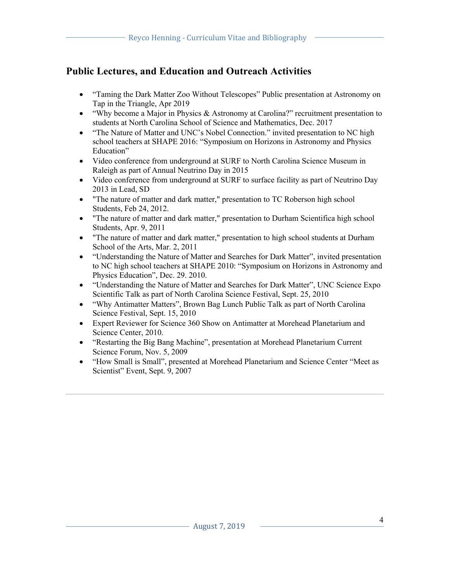## **Public Lectures, and Education and Outreach Activities**

- "Taming the Dark Matter Zoo Without Telescopes" Public presentation at Astronomy on Tap in the Triangle, Apr 2019
- "Why become a Major in Physics & Astronomy at Carolina?" recruitment presentation to students at North Carolina School of Science and Mathematics, Dec. 2017
- "The Nature of Matter and UNC's Nobel Connection." invited presentation to NC high school teachers at SHAPE 2016: "Symposium on Horizons in Astronomy and Physics Education"
- Video conference from underground at SURF to North Carolina Science Museum in Raleigh as part of Annual Neutrino Day in 2015
- Video conference from underground at SURF to surface facility as part of Neutrino Day 2013 in Lead, SD
- "The nature of matter and dark matter," presentation to TC Roberson high school Students, Feb 24, 2012.
- "The nature of matter and dark matter," presentation to Durham Scientifica high school Students, Apr. 9, 2011
- "The nature of matter and dark matter," presentation to high school students at Durham School of the Arts, Mar. 2, 2011
- "Understanding the Nature of Matter and Searches for Dark Matter", invited presentation to NC high school teachers at SHAPE 2010: "Symposium on Horizons in Astronomy and Physics Education", Dec. 29. 2010.
- "Understanding the Nature of Matter and Searches for Dark Matter", UNC Science Expo Scientific Talk as part of North Carolina Science Festival, Sept. 25, 2010
- "Why Antimatter Matters", Brown Bag Lunch Public Talk as part of North Carolina Science Festival, Sept. 15, 2010
- Expert Reviewer for Science 360 Show on Antimatter at Morehead Planetarium and Science Center, 2010.
- "Restarting the Big Bang Machine", presentation at Morehead Planetarium Current Science Forum, Nov. 5, 2009
- "How Small is Small", presented at Morehead Planetarium and Science Center "Meet as Scientist" Event, Sept. 9, 2007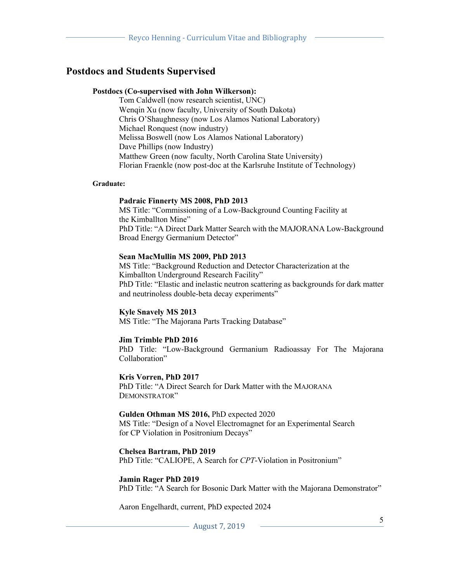### **Postdocs and Students Supervised**

#### **Postdocs (Co-supervised with John Wilkerson):**

Tom Caldwell (now research scientist, UNC) Wenqin Xu (now faculty, University of South Dakota) Chris O'Shaughnessy (now Los Alamos National Laboratory) Michael Ronquest (now industry) Melissa Boswell (now Los Alamos National Laboratory) Dave Phillips (now Industry) Matthew Green (now faculty, North Carolina State University) Florian Fraenkle (now post-doc at the Karlsruhe Institute of Technology)

#### **Graduate:**

#### **Padraic Finnerty MS 2008, PhD 2013**

MS Title: "Commissioning of a Low-Background Counting Facility at the Kimballton Mine" PhD Title: "A Direct Dark Matter Search with the MAJORANA Low-Background Broad Energy Germanium Detector"

#### **Sean MacMullin MS 2009, PhD 2013**

MS Title: "Background Reduction and Detector Characterization at the Kimballton Underground Research Facility" PhD Title: "Elastic and inelastic neutron scattering as backgrounds for dark matter and neutrinoless double-beta decay experiments"

#### **Kyle Snavely MS 2013**

MS Title: "The Majorana Parts Tracking Database"

#### **Jim Trimble PhD 2016**

PhD Title: "Low-Background Germanium Radioassay For The Majorana Collaboration"

**Kris Vorren, PhD 2017**

PhD Title: "A Direct Search for Dark Matter with the MAJORANA DEMONSTRATOR"

#### **Gulden Othman MS 2016,** PhD expected 2020

MS Title: "Design of a Novel Electromagnet for an Experimental Search for CP Violation in Positronium Decays"

#### **Chelsea Bartram, PhD 2019**

PhD Title: "CALIOPE, A Search for *CPT*-Violation in Positronium"

#### **Jamin Rager PhD 2019**

PhD Title: "A Search for Bosonic Dark Matter with the Majorana Demonstrator"

Aaron Engelhardt, current, PhD expected 2024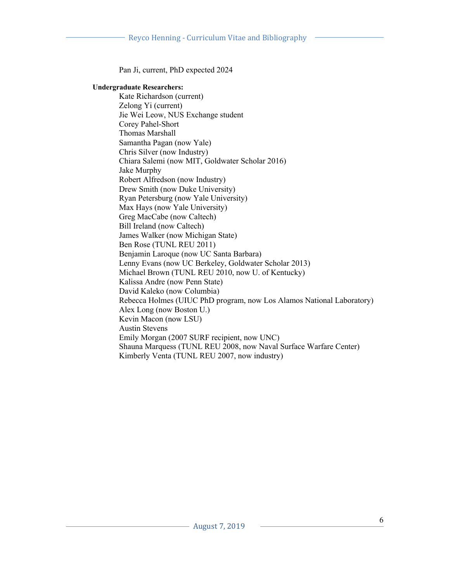Pan Ji, current, PhD expected 2024

#### **Undergraduate Researchers:**

Kate Richardson (current) Zelong Yi (current) Jie Wei Leow, NUS Exchange student Corey Pahel-Short Thomas Marshall Samantha Pagan (now Yale) Chris Silver (now Industry) Chiara Salemi (now MIT, Goldwater Scholar 2016) Jake Murphy Robert Alfredson (now Industry) Drew Smith (now Duke University) Ryan Petersburg (now Yale University) Max Hays (now Yale University) Greg MacCabe (now Caltech) Bill Ireland (now Caltech) James Walker (now Michigan State) Ben Rose (TUNL REU 2011) Benjamin Laroque (now UC Santa Barbara) Lenny Evans (now UC Berkeley, Goldwater Scholar 2013) Michael Brown (TUNL REU 2010, now U. of Kentucky) Kalissa Andre (now Penn State) David Kaleko (now Columbia) Rebecca Holmes (UIUC PhD program, now Los Alamos National Laboratory) Alex Long (now Boston U.) Kevin Macon (now LSU) Austin Stevens Emily Morgan (2007 SURF recipient, now UNC) Shauna Marquess (TUNL REU 2008, now Naval Surface Warfare Center) Kimberly Venta (TUNL REU 2007, now industry)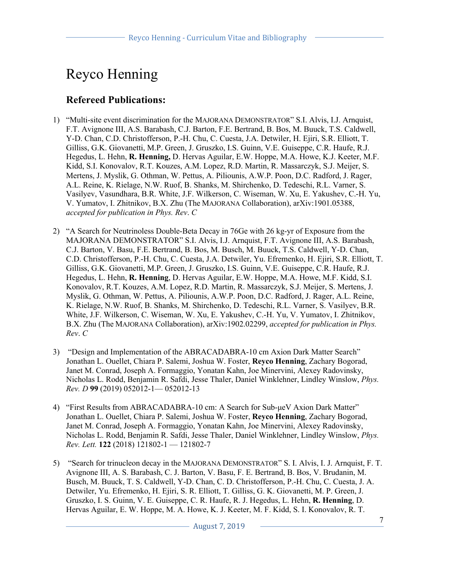# Reyco Henning

## **Refereed Publications:**

- 1) "Multi-site event discrimination for the MAJORANA DEMONSTRATOR" S.I. Alvis, I.J. Arnquist, F.T. Avignone III, A.S. Barabash, C.J. Barton, F.E. Bertrand, B. Bos, M. Buuck, T.S. Caldwell, Y-D. Chan, C.D. Christofferson, P.-H. Chu, C. Cuesta, J.A. Detwiler, H. Ejiri, S.R. Elliott, T. Gilliss, G.K. Giovanetti, M.P. Green, J. Gruszko, I.S. Guinn, V.E. Guiseppe, C.R. Haufe, R.J. Hegedus, L. Hehn, **R. Henning,** D. Hervas Aguilar, E.W. Hoppe, M.A. Howe, K.J. Keeter, M.F. Kidd, S.I. Konovalov, R.T. Kouzes, A.M. Lopez, R.D. Martin, R. Massarczyk, S.J. Meijer, S. Mertens, J. Myslik, G. Othman, W. Pettus, A. Piliounis, A.W.P. Poon, D.C. Radford, J. Rager, A.L. Reine, K. Rielage, N.W. Ruof, B. Shanks, M. Shirchenko, D. Tedeschi, R.L. Varner, S. Vasilyev, Vasundhara, B.R. White, J.F. Wilkerson, C. Wiseman, W. Xu, E. Yakushev, C.-H. Yu, V. Yumatov, I. Zhitnikov, B.X. Zhu (The MAJORANA Collaboration), arXiv:1901.05388, *accepted for publication in Phys. Rev*. *C*
- 2) "A Search for Neutrinoless Double-Beta Decay in 76Ge with 26 kg-yr of Exposure from the MAJORANA DEMONSTRATOR" S.I. Alvis, I.J. Arnquist, F.T. Avignone III, A.S. Barabash, C.J. Barton, V. Basu, F.E. Bertrand, B. Bos, M. Busch, M. Buuck, T.S. Caldwell, Y-D. Chan, C.D. Christofferson, P.-H. Chu, C. Cuesta, J.A. Detwiler, Yu. Efremenko, H. Ejiri, S.R. Elliott, T. Gilliss, G.K. Giovanetti, M.P. Green, J. Gruszko, I.S. Guinn, V.E. Guiseppe, C.R. Haufe, R.J. Hegedus, L. Hehn, **R. Henning**, D. Hervas Aguilar, E.W. Hoppe, M.A. Howe, M.F. Kidd, S.I. Konovalov, R.T. Kouzes, A.M. Lopez, R.D. Martin, R. Massarczyk, S.J. Meijer, S. Mertens, J. Myslik, G. Othman, W. Pettus, A. Piliounis, A.W.P. Poon, D.C. Radford, J. Rager, A.L. Reine, K. Rielage, N.W. Ruof, B. Shanks, M. Shirchenko, D. Tedeschi, R.L. Varner, S. Vasilyev, B.R. White, J.F. Wilkerson, C. Wiseman, W. Xu, E. Yakushev, C.-H. Yu, V. Yumatov, I. Zhitnikov, B.X. Zhu (The MAJORANA Collaboration), arXiv:1902.02299, *accepted for publication in Phys. Rev*. *C*
- 3) "Design and Implementation of the ABRACADABRA-10 cm Axion Dark Matter Search" Jonathan L. Ouellet, Chiara P. Salemi, Joshua W. Foster, **Reyco Henning**, Zachary Bogorad, Janet M. Conrad, Joseph A. Formaggio, Yonatan Kahn, Joe Minervini, Alexey Radovinsky, Nicholas L. Rodd, Benjamin R. Safdi, Jesse Thaler, Daniel Winklehner, Lindley Winslow, *Phys. Rev. D* **99** (2019) 052012-1— 052012-13
- 4) "First Results from ABRACADABRA-10 cm: A Search for Sub-μeV Axion Dark Matter" Jonathan L. Ouellet, Chiara P. Salemi, Joshua W. Foster, **Reyco Henning**, Zachary Bogorad, Janet M. Conrad, Joseph A. Formaggio, Yonatan Kahn, Joe Minervini, Alexey Radovinsky, Nicholas L. Rodd, Benjamin R. Safdi, Jesse Thaler, Daniel Winklehner, Lindley Winslow, *Phys. Rev. Lett.* **122** (2018) 121802-1 — 121802-7
- 5) "Search for trinucleon decay in the MAJORANA DEMONSTRATOR" S. I. Alvis, I. J. Arnquist, F. T. Avignone III, A. S. Barabash, C. J. Barton, V. Basu, F. E. Bertrand, B. Bos, V. Brudanin, M. Busch, M. Buuck, T. S. Caldwell, Y-D. Chan, C. D. Christofferson, P.-H. Chu, C. Cuesta, J. A. Detwiler, Yu. Efremenko, H. Ejiri, S. R. Elliott, T. Gilliss, G. K. Giovanetti, M. P. Green, J. Gruszko, I. S. Guinn, V. E. Guiseppe, C. R. Haufe, R. J. Hegedus, L. Hehn, **R. Henning**, D. Hervas Aguilar, E. W. Hoppe, M. A. Howe, K. J. Keeter, M. F. Kidd, S. I. Konovalov, R. T.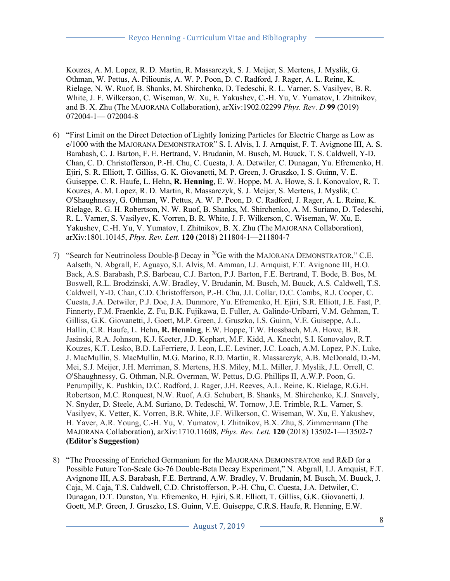Kouzes, A. M. Lopez, R. D. Martin, R. Massarczyk, S. J. Meijer, S. Mertens, J. Myslik, G. Othman, W. Pettus, A. Piliounis, A. W. P. Poon, D. C. Radford, J. Rager, A. L. Reine, K. Rielage, N. W. Ruof, B. Shanks, M. Shirchenko, D. Tedeschi, R. L. Varner, S. Vasilyev, B. R. White, J. F. Wilkerson, C. Wiseman, W. Xu, E. Yakushev, C.-H. Yu, V. Yumatov, I. Zhitnikov, and B. X. Zhu (The MAJORANA Collaboration), arXiv:1902.02299 *Phys. Rev*. *D* **99** (2019) 072004-1— 072004-8

- 6) "First Limit on the Direct Detection of Lightly Ionizing Particles for Electric Charge as Low as e/1000 with the MAJORANA DEMONSTRATOR" S. I. Alvis, I. J. Arnquist, F. T. Avignone III, A. S. Barabash, C. J. Barton, F. E. Bertrand, V. Brudanin, M. Busch, M. Buuck, T. S. Caldwell, Y-D. Chan, C. D. Christofferson, P.-H. Chu, C. Cuesta, J. A. Detwiler, C. Dunagan, Yu. Efremenko, H. Ejiri, S. R. Elliott, T. Gilliss, G. K. Giovanetti, M. P. Green, J. Gruszko, I. S. Guinn, V. E. Guiseppe, C. R. Haufe, L. Hehn, **R. Henning**, E. W. Hoppe, M. A. Howe, S. I. Konovalov, R. T. Kouzes, A. M. Lopez, R. D. Martin, R. Massarczyk, S. J. Meijer, S. Mertens, J. Myslik, C. O'Shaughnessy, G. Othman, W. Pettus, A. W. P. Poon, D. C. Radford, J. Rager, A. L. Reine, K. Rielage, R. G. H. Robertson, N. W. Ruof, B. Shanks, M. Shirchenko, A. M. Suriano, D. Tedeschi, R. L. Varner, S. Vasilyev, K. Vorren, B. R. White, J. F. Wilkerson, C. Wiseman, W. Xu, E. Yakushev, C.-H. Yu, V. Yumatov, I. Zhitnikov, B. X. Zhu (The MAJORANA Collaboration), arXiv:1801.10145, *Phys. Rev. Lett.* **120** (2018) 211804-1—211804-7
- 7) "Search for Neutrinoless Double-β Decay in 76Ge with the MAJORANA DEMONSTRATOR," C.E. Aalseth, N. Abgrall, E. Aguayo, S.I. Alvis, M. Amman, I.J. Arnquist, F.T. Avignone III, H.O. Back, A.S. Barabash, P.S. Barbeau, C.J. Barton, P.J. Barton, F.E. Bertrand, T. Bode, B. Bos, M. Boswell, R.L. Brodzinski, A.W. Bradley, V. Brudanin, M. Busch, M. Buuck, A.S. Caldwell, T.S. Caldwell, Y-D. Chan, C.D. Christofferson, P.-H. Chu, J.I. Collar, D.C. Combs, R.J. Cooper, C. Cuesta, J.A. Detwiler, P.J. Doe, J.A. Dunmore, Yu. Efremenko, H. Ejiri, S.R. Elliott, J.E. Fast, P. Finnerty, F.M. Fraenkle, Z. Fu, B.K. Fujikawa, E. Fuller, A. Galindo-Uribarri, V.M. Gehman, T. Gilliss, G.K. Giovanetti, J. Goett, M.P. Green, J. Gruszko, I.S. Guinn, V.E. Guiseppe, A.L. Hallin, C.R. Haufe, L. Hehn**, R. Henning**, E.W. Hoppe, T.W. Hossbach, M.A. Howe, B.R. Jasinski, R.A. Johnson, K.J. Keeter, J.D. Kephart, M.F. Kidd, A. Knecht, S.I. Konovalov, R.T. Kouzes, K.T. Lesko, B.D. LaFerriere, J. Leon, L.E. Leviner, J.C. Loach, A.M. Lopez, P.N. Luke, J. MacMullin, S. MacMullin, M.G. Marino, R.D. Martin, R. Massarczyk, A.B. McDonald, D.-M. Mei, S.J. Meijer, J.H. Merriman, S. Mertens, H.S. Miley, M.L. Miller, J. Myslik, J.L. Orrell, C. O'Shaughnessy, G. Othman, N.R. Overman, W. Pettus, D.G. Phillips II, A.W.P. Poon, G. Perumpilly, K. Pushkin, D.C. Radford, J. Rager, J.H. Reeves, A.L. Reine, K. Rielage, R.G.H. Robertson, M.C. Ronquest, N.W. Ruof, A.G. Schubert, B. Shanks, M. Shirchenko, K.J. Snavely, N. Snyder, D. Steele, A.M. Suriano, D. Tedeschi, W. Tornow, J.E. Trimble, R.L. Varner, S. Vasilyev, K. Vetter, K. Vorren, B.R. White, J.F. Wilkerson, C. Wiseman, W. Xu, E. Yakushev, H. Yaver, A.R. Young, C.-H. Yu, V. Yumatov, I. Zhitnikov, B.X. Zhu, S. Zimmermann (The MAJORANA Collaboration), arXiv:1710.11608, *Phys. Rev. Lett.* **120** (2018) 13502-1—13502-7 **(Editor's Suggestion)**
- 8) "The Processing of Enriched Germanium for the MAJORANA DEMONSTRATOR and R&D for a Possible Future Ton-Scale Ge-76 Double-Beta Decay Experiment," N. Abgrall, I.J. Arnquist, F.T. Avignone III, A.S. Barabash, F.E. Bertrand, A.W. Bradley, V. Brudanin, M. Busch, M. Buuck, J. Caja, M. Caja, T.S. Caldwell, C.D. Christofferson, P.-H. Chu, C. Cuesta, J.A. Detwiler, C. Dunagan, D.T. Dunstan, Yu. Efremenko, H. Ejiri, S.R. Elliott, T. Gilliss, G.K. Giovanetti, J. Goett, M.P. Green, J. Gruszko, I.S. Guinn, V.E. Guiseppe, C.R.S. Haufe, R. Henning, E.W.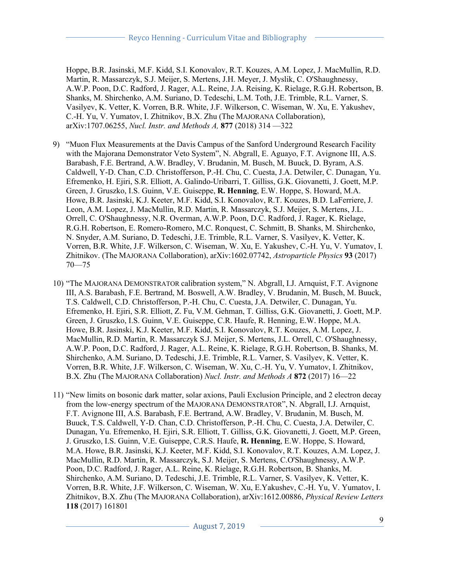Hoppe, B.R. Jasinski, M.F. Kidd, S.I. Konovalov, R.T. Kouzes, A.M. Lopez, J. MacMullin, R.D. Martin, R. Massarczyk, S.J. Meijer, S. Mertens, J.H. Meyer, J. Myslik, C. O'Shaughnessy, A.W.P. Poon, D.C. Radford, J. Rager, A.L. Reine, J.A. Reising, K. Rielage, R.G.H. Robertson, B. Shanks, M. Shirchenko, A.M. Suriano, D. Tedeschi, L.M. Toth, J.E. Trimble, R.L. Varner, S. Vasilyev, K. Vetter, K. Vorren, B.R. White, J.F. Wilkerson, C. Wiseman, W. Xu, E. Yakushev, C.-H. Yu, V. Yumatov, I. Zhitnikov, B.X. Zhu (The MAJORANA Collaboration), arXiv:1707.06255, *Nucl. Instr. and Methods A,* **877** (2018) 314 —322

- 9) "Muon Flux Measurements at the Davis Campus of the Sanford Underground Research Facility with the Majorana Demonstrator Veto System", N. Abgrall, E. Aguayo, F.T. Avignone III, A.S. Barabash, F.E. Bertrand, A.W. Bradley, V. Brudanin, M. Busch, M. Buuck, D. Byram, A.S. Caldwell, Y-D. Chan, C.D. Christofferson, P.-H. Chu, C. Cuesta, J.A. Detwiler, C. Dunagan, Yu. Efremenko, H. Ejiri, S.R. Elliott, A. Galindo-Uribarri, T. Gilliss, G.K. Giovanetti, J. Goett, M.P. Green, J. Gruszko, I.S. Guinn, V.E. Guiseppe, **R. Henning**, E.W. Hoppe, S. Howard, M.A. Howe, B.R. Jasinski, K.J. Keeter, M.F. Kidd, S.I. Konovalov, R.T. Kouzes, B.D. LaFerriere, J. Leon, A.M. Lopez, J. MacMullin, R.D. Martin, R. Massarczyk, S.J. Meijer, S. Mertens, J.L. Orrell, C. O'Shaughnessy, N.R. Overman, A.W.P. Poon, D.C. Radford, J. Rager, K. Rielage, R.G.H. Robertson, E. Romero-Romero, M.C. Ronquest, C. Schmitt, B. Shanks, M. Shirchenko, N. Snyder, A.M. Suriano, D. Tedeschi, J.E. Trimble, R.L. Varner, S. Vasilyev, K. Vetter, K. Vorren, B.R. White, J.F. Wilkerson, C. Wiseman, W. Xu, E. Yakushev, C.-H. Yu, V. Yumatov, I. Zhitnikov. (The MAJORANA Collaboration), arXiv:1602.07742, *Astroparticle Physics* **93** (2017) 70—75
- 10) "The MAJORANA DEMONSTRATOR calibration system," N. Abgrall, I.J. Arnquist, F.T. Avignone III, A.S. Barabash, F.E. Bertrand, M. Boswell, A.W. Bradley, V. Brudanin, M. Busch, M. Buuck, T.S. Caldwell, C.D. Christofferson, P.-H. Chu, C. Cuesta, J.A. Detwiler, C. Dunagan, Yu. Efremenko, H. Ejiri, S.R. Elliott, Z. Fu, V.M. Gehman, T. Gilliss, G.K. Giovanetti, J. Goett, M.P. Green, J. Gruszko, I.S. Guinn, V.E. Guiseppe, C.R. Haufe, R. Henning, E.W. Hoppe, M.A. Howe, B.R. Jasinski, K.J. Keeter, M.F. Kidd, S.I. Konovalov, R.T. Kouzes, A.M. Lopez, J. MacMullin, R.D. Martin, R. Massarczyk S.J. Meijer, S. Mertens, J.L. Orrell, C. O'Shaughnessy, A.W.P. Poon, D.C. Radford, J. Rager, A.L. Reine, K. Rielage, R.G.H. Robertson, B. Shanks, M. Shirchenko, A.M. Suriano, D. Tedeschi, J.E. Trimble, R.L. Varner, S. Vasilyev, K. Vetter, K. Vorren, B.R. White, J.F. Wilkerson, C. Wiseman, W. Xu, C.-H. Yu, V. Yumatov, I. Zhitnikov, B.X. Zhu (The MAJORANA Collaboration) *Nucl. Instr. and Methods A* **872** (2017) 16—22
- 11) "New limits on bosonic dark matter, solar axions, Pauli Exclusion Principle, and 2 electron decay from the low-energy spectrum of the MAJORANA DEMONSTRATOR", N. Abgrall, I.J. Arnquist, F.T. Avignone III, A.S. Barabash, F.E. Bertrand, A.W. Bradley, V. Brudanin, M. Busch, M. Buuck, T.S. Caldwell, Y-D. Chan, C.D. Christofferson, P.-H. Chu, C. Cuesta, J.A. Detwiler, C. Dunagan, Yu. Efremenko, H. Ejiri, S.R. Elliott, T. Gilliss, G.K. Giovanetti, J. Goett, M.P. Green, J. Gruszko, I.S. Guinn, V.E. Guiseppe, C.R.S. Haufe, **R. Henning**, E.W. Hoppe, S. Howard, M.A. Howe, B.R. Jasinski, K.J. Keeter, M.F. Kidd, S.I. Konovalov, R.T. Kouzes, A.M. Lopez, J. MacMullin, R.D. Martin, R. Massarczyk, S.J. Meijer, S. Mertens, C.O'Shaughnessy, A.W.P. Poon, D.C. Radford, J. Rager, A.L. Reine, K. Rielage, R.G.H. Robertson, B. Shanks, M. Shirchenko, A.M. Suriano, D. Tedeschi, J.E. Trimble, R.L. Varner, S. Vasilyev, K. Vetter, K. Vorren, B.R. White, J.F. Wilkerson, C. Wiseman, W. Xu, E.Yakushev, C.-H. Yu, V. Yumatov, I. Zhitnikov, B.X. Zhu (The MAJORANA Collaboration), arXiv:1612.00886, *Physical Review Letters*  **118** (2017) 161801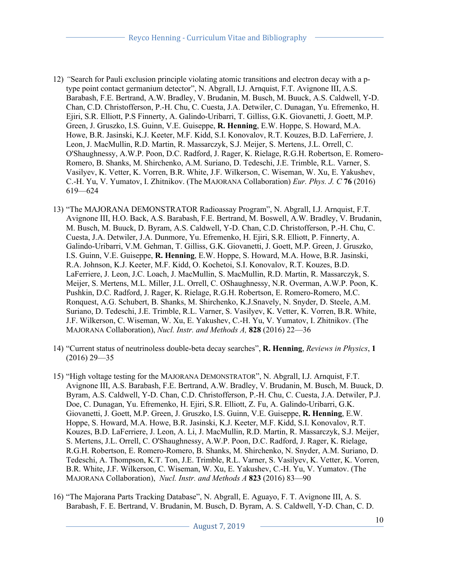- 12) *"*Search for Pauli exclusion principle violating atomic transitions and electron decay with a ptype point contact germanium detector", N. Abgrall, I.J. Arnquist, F.T. Avignone III, A.S. Barabash, F.E. Bertrand, A.W. Bradley, V. Brudanin, M. Busch, M. Buuck, A.S. Caldwell, Y-D. Chan, C.D. Christofferson, P.-H. Chu, C. Cuesta, J.A. Detwiler, C. Dunagan, Yu. Efremenko, H. Ejiri, S.R. Elliott, P.S Finnerty, A. Galindo-Uribarri, T. Gilliss, G.K. Giovanetti, J. Goett, M.P. Green, J. Gruszko, I.S. Guinn, V.E. Guiseppe, **R. Henning**, E.W. Hoppe, S. Howard, M.A. Howe, B.R. Jasinski, K.J. Keeter, M.F. Kidd, S.I. Konovalov, R.T. Kouzes, B.D. LaFerriere, J. Leon, J. MacMullin, R.D. Martin, R. Massarczyk, S.J. Meijer, S. Mertens, J.L. Orrell, C. O'Shaughnessy, A.W.P. Poon, D.C. Radford, J. Rager, K. Rielage, R.G.H. Robertson, E. Romero-Romero, B. Shanks, M. Shirchenko, A.M. Suriano, D. Tedeschi, J.E. Trimble, R.L. Varner, S. Vasilyev, K. Vetter, K. Vorren, B.R. White, J.F. Wilkerson, C. Wiseman, W. Xu, E. Yakushev, C.-H. Yu, V. Yumatov, I. Zhitnikov. (The MAJORANA Collaboration) *Eur. Phys. J. C* **76** (2016) 619—624
- 13) "The MAJORANA DEMONSTRATOR Radioassay Program", N. Abgrall, I.J. Arnquist, F.T. Avignone III, H.O. Back, A.S. Barabash, F.E. Bertrand, M. Boswell, A.W. Bradley, V. Brudanin, M. Busch, M. Buuck, D. Byram, A.S. Caldwell, Y-D. Chan, C.D. Christofferson, P.-H. Chu, C. Cuesta, J.A. Detwiler, J.A. Dunmore, Yu. Efremenko, H. Ejiri, S.R. Elliott, P. Finnerty, A. Galindo-Uribarri, V.M. Gehman, T. Gilliss, G.K. Giovanetti, J. Goett, M.P. Green, J. Gruszko, I.S. Guinn, V.E. Guiseppe, **R. Henning**, E.W. Hoppe, S. Howard, M.A. Howe, B.R. Jasinski, R.A. Johnson, K.J. Keeter, M.F. Kidd, O. Kochetoi, S.I. Konovalov, R.T. Kouzes, B.D. LaFerriere, J. Leon, J.C. Loach, J. MacMullin, S. MacMullin, R.D. Martin, R. Massarczyk, S. Meijer, S. Mertens, M.L. Miller, J.L. Orrell, C. OShaughnessy, N.R. Overman, A.W.P. Poon, K. Pushkin, D.C. Radford, J. Rager, K. Rielage, R.G.H. Robertson, E. Romero-Romero, M.C. Ronquest, A.G. Schubert, B. Shanks, M. Shirchenko, K.J.Snavely, N. Snyder, D. Steele, A.M. Suriano, D. Tedeschi, J.E. Trimble, R.L. Varner, S. Vasilyev, K. Vetter, K. Vorren, B.R. White, J.F. Wilkerson, C. Wiseman, W. Xu, E. Yakushev, C.-H. Yu, V. Yumatov, I. Zhitnikov. (The MAJORANA Collaboration), *Nucl. Instr. and Methods A,* **828** (2016) 22—36
- 14) "Current status of neutrinoless double-beta decay searches", **R. Henning**, *Reviews in Physics*, **1** (2016) 29—35
- 15) "High voltage testing for the MAJORANA DEMONSTRATOR", N. Abgrall, I.J. Arnquist, F.T. Avignone III, A.S. Barabash, F.E. Bertrand, A.W. Bradley, V. Brudanin, M. Busch, M. Buuck, D. Byram, A.S. Caldwell, Y-D. Chan, C.D. Christofferson, P.-H. Chu, C. Cuesta, J.A. Detwiler, P.J. Doe, C. Dunagan, Yu. Efremenko, H. Ejiri, S.R. Elliott, Z. Fu, A. Galindo-Uribarri, G.K. Giovanetti, J. Goett, M.P. Green, J. Gruszko, I.S. Guinn, V.E. Guiseppe, **R. Henning**, E.W. Hoppe, S. Howard, M.A. Howe, B.R. Jasinski, K.J. Keeter, M.F. Kidd, S.I. Konovalov, R.T. Kouzes, B.D. LaFerriere, J. Leon, A. Li, J. MacMullin, R.D. Martin, R. Massarczyk, S.J. Meijer, S. Mertens, J.L. Orrell, C. O'Shaughnessy, A.W.P. Poon, D.C. Radford, J. Rager, K. Rielage, R.G.H. Robertson, E. Romero-Romero, B. Shanks, M. Shirchenko, N. Snyder, A.M. Suriano, D. Tedeschi, A. Thompson, K.T. Ton, J.E. Trimble, R.L. Varner, S. Vasilyev, K. Vetter, K. Vorren, B.R. White, J.F. Wilkerson, C. Wiseman, W. Xu, E. Yakushev, C.-H. Yu, V. Yumatov. (The MAJORANA Collaboration), *Nucl. Instr. and Methods A* **823** (2016) 83—90
- 16) "The Majorana Parts Tracking Database", N. Abgrall, E. Aguayo, F. T. Avignone III, A. S. Barabash, F. E. Bertrand, V. Brudanin, M. Busch, D. Byram, A. S. Caldwell, Y-D. Chan, C. D.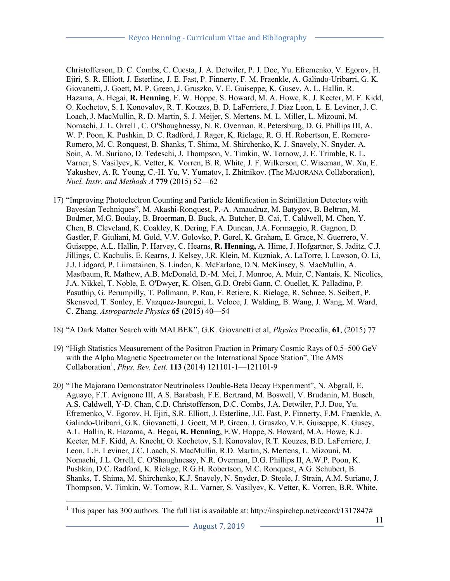Christofferson, D. C. Combs, C. Cuesta, J. A. Detwiler, P. J. Doe, Yu. Efremenko, V. Egorov, H. Ejiri, S. R. Elliott, J. Esterline, J. E. Fast, P. Finnerty, F. M. Fraenkle, A. Galindo-Uribarri, G. K. Giovanetti, J. Goett, M. P. Green, J. Gruszko, V. E. Guiseppe, K. Gusev, A. L. Hallin, R. Hazama, A. Hegai, **R. Henning**, E. W. Hoppe, S. Howard, M. A. Howe, K. J. Keeter, M. F. Kidd, O. Kochetov, S. I. Konovalov, R. T. Kouzes, B. D. LaFerriere, J. Diaz Leon, L. E. Leviner, J. C. Loach, J. MacMullin, R. D. Martin, S. J. Meijer, S. Mertens, M. L. Miller, L. Mizouni, M. Nomachi, J. L. Orrell , C. O'Shaughnessy, N. R. Overman, R. Petersburg, D. G. Phillips III, A. W. P. Poon, K. Pushkin, D. C. Radford, J. Rager, K. Rielage, R. G. H. Robertson, E. Romero-Romero, M. C. Ronquest, B. Shanks, T. Shima, M. Shirchenko, K. J. Snavely, N. Snyder, A. Soin, A. M. Suriano, D. Tedeschi, J. Thompson, V. Timkin, W. Tornow, J. E. Trimble, R. L. Varner, S. Vasilyev, K. Vetter, K. Vorren, B. R. White, J. F. Wilkerson, C. Wiseman, W. Xu, E. Yakushev, A. R. Young, C.-H. Yu, V. Yumatov, I. Zhitnikov. (The MAJORANA Collaboration), *Nucl. Instr. and Methods A* **779** (2015) 52—62

- 17) "Improving Photoelectron Counting and Particle Identification in Scintillation Detectors with Bayesian Techniques", M. Akashi-Ronquest, P.-A. Amaudruz, M. Batygov, B. Beltran, M. Bodmer, M.G. Boulay, B. Broerman, B. Buck, A. Butcher, B. Cai, T. Caldwell, M. Chen, Y. Chen, B. Cleveland, K. Coakley, K. Dering, F.A. Duncan, J.A. Formaggio, R. Gagnon, D. Gastler, F. Giuliani, M. Gold, V.V. Golovko, P. Gorel, K. Graham, E. Grace, N. Guerrero, V. Guiseppe, A.L. Hallin, P. Harvey, C. Hearns, **R. Henning,** A. Hime, J. Hofgartner, S. Jaditz, C.J. Jillings, C. Kachulis, E. Kearns, J. Kelsey, J.R. Klein, M. Kuzniak, A. LaTorre, I. Lawson, O. Li, J.J. Lidgard, P. Liimatainen, S. Linden, K. McFarlane, D.N. McKinsey, S. MacMullin, A. Mastbaum, R. Mathew, A.B. McDonald, D.-M. Mei, J. Monroe, A. Muir, C. Nantais, K. Nicolics, J.A. Nikkel, T. Noble, E. O'Dwyer, K. Olsen, G.D. Orebi Gann, C. Ouellet, K. Palladino, P. Pasuthip, G. Perumpilly, T. Pollmann, P. Rau, F. Retiere, K. Rielage, R. Schnee, S. Seibert, P. Skensved, T. Sonley, E. Vazquez-Jauregui, L. Veloce, J. Walding, B. Wang, J. Wang, M. Ward, C. Zhang. *Astroparticle Physics* **65** (2015) 40—54
- 18) "A Dark Matter Search with MALBEK", G.K. Giovanetti et al, *Physics* Procedia, **61**, (2015) 77
- 19) "High Statistics Measurement of the Positron Fraction in Primary Cosmic Rays of 0.5–500 GeV with the Alpha Magnetic Spectrometer on the International Space Station", The AMS Collaboration<sup>1</sup>, *Phys. Rev. Lett.* **113** (2014) 121101-1-121101-9
- 20) "The Majorana Demonstrator Neutrinoless Double-Beta Decay Experiment", N. Abgrall, E. Aguayo, F.T. Avignone III, A.S. Barabash, F.E. Bertrand, M. Boswell, V. Brudanin, M. Busch, A.S. Caldwell, Y-D. Chan, C.D. Christofferson, D.C. Combs, J.A. Detwiler, P.J. Doe, Yu. Efremenko, V. Egorov, H. Ejiri, S.R. Elliott, J. Esterline, J.E. Fast, P. Finnerty, F.M. Fraenkle, A. Galindo-Uribarri, G.K. Giovanetti, J. Goett, M.P. Green, J. Gruszko, V.E. Guiseppe, K. Gusey, A.L. Hallin, R. Hazama, A. Hegai**, R. Henning**, E.W. Hoppe, S. Howard, M.A. Howe, K.J. Keeter, M.F. Kidd, A. Knecht, O. Kochetov, S.I. Konovalov, R.T. Kouzes, B.D. LaFerriere, J. Leon, L.E. Leviner, J.C. Loach, S. MacMullin, R.D. Martin, S. Mertens, L. Mizouni, M. Nomachi, J.L. Orrell, C. O'Shaughnessy, N.R. Overman, D.G. Phillips II, A.W.P. Poon, K. Pushkin, D.C. Radford, K. Rielage, R.G.H. Robertson, M.C. Ronquest, A.G. Schubert, B. Shanks, T. Shima, M. Shirchenko, K.J. Snavely, N. Snyder, D. Steele, J. Strain, A.M. Suriano, J. Thompson, V. Timkin, W. Tornow, R.L. Varner, S. Vasilyev, K. Vetter, K. Vorren, B.R. White,

<sup>&</sup>lt;sup>1</sup> This paper has 300 authors. The full list is available at: http://inspirehep.net/record/1317847#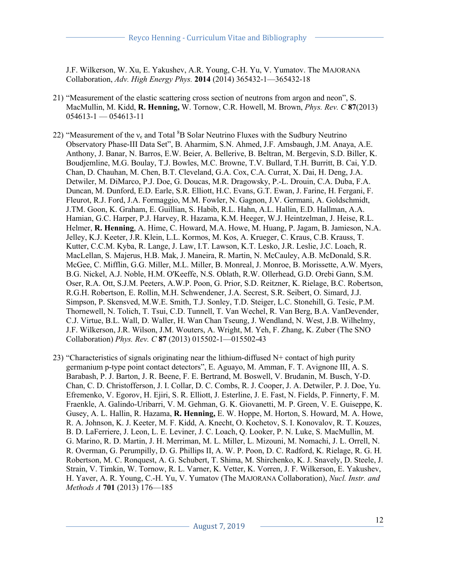J.F. Wilkerson, W. Xu, E. Yakushev, A.R. Young, C-H. Yu, V. Yumatov. The MAJORANA Collaboration, *Adv. High Energy Phys.* **2014** (2014) 365432-1—365432-18

- 21) "Measurement of the elastic scattering cross section of neutrons from argon and neon", S. MacMullin, M. Kidd, **R. Henning,** W. Tornow, C.R. Howell, M. Brown, *Phys. Rev. C* **87**(2013) 054613-1 — 054613-11
- 22) "Measurement of the  $v_e$  and Total  ${}^{8}B$  Solar Neutrino Fluxes with the Sudbury Neutrino Observatory Phase-III Data Set", B. Aharmim, S.N. Ahmed, J.F. Amsbaugh, J.M. Anaya, A.E. Anthony, J. Banar, N. Barros, E.W. Beier, A. Bellerive, B. Beltran, M. Bergevin, S.D. Biller, K. Boudjemline, M.G. Boulay, T.J. Bowles, M.C. Browne, T.V. Bullard, T.H. Burritt, B. Cai, Y.D. Chan, D. Chauhan, M. Chen, B.T. Cleveland, G.A. Cox, C.A. Currat, X. Dai, H. Deng, J.A. Detwiler, M. DiMarco, P.J. Doe, G. Doucas, M.R. Dragowsky, P.-L. Drouin, C.A. Duba, F.A. Duncan, M. Dunford, E.D. Earle, S.R. Elliott, H.C. Evans, G.T. Ewan, J. Farine, H. Fergani, F. Fleurot, R.J. Ford, J.A. Formaggio, M.M. Fowler, N. Gagnon, J.V. Germani, A. Goldschmidt, J.TM. Goon, K. Graham, E. Guillian, S. Habib, R.L. Hahn, A.L. Hallin, E.D. Hallman, A.A. Hamian, G.C. Harper, P.J. Harvey, R. Hazama, K.M. Heeger, W.J. Heintzelman, J. Heise, R.L. Helmer, **R. Henning**, A. Hime, C. Howard, M.A. Howe, M. Huang, P. Jagam, B. Jamieson, N.A. Jelley, K.J. Keeter, J.R. Klein, L.L. Kormos, M. Kos, A. Krueger, C. Kraus, C.B. Krauss, T. Kutter, C.C.M. Kyba, R. Lange, J. Law, I.T. Lawson, K.T. Lesko, J.R. Leslie, J.C. Loach, R. MacLellan, S. Majerus, H.B. Mak, J. Maneira, R. Martin, N. McCauley, A.B. McDonald, S.R. McGee, C. Mifflin, G.G. Miller, M.L. Miller, B. Monreal, J. Monroe, B. Morissette, A.W. Myers, B.G. Nickel, A.J. Noble, H.M. O'Keeffe, N.S. Oblath, R.W. Ollerhead, G.D. Orebi Gann, S.M. Oser, R.A. Ott, S.J.M. Peeters, A.W.P. Poon, G. Prior, S.D. Reitzner, K. Rielage, B.C. Robertson, R.G.H. Robertson, E. Rollin, M.H. Schwendener, J.A. Secrest, S.R. Seibert, O. Simard, J.J. Simpson, P. Skensved, M.W.E. Smith, T.J. Sonley, T.D. Steiger, L.C. Stonehill, G. Tesic, P.M. Thornewell, N. Tolich, T. Tsui, C.D. Tunnell, T. Van Wechel, R. Van Berg, B.A. VanDevender, C.J. Virtue, B.L. Wall, D. Waller, H. Wan Chan Tseung, J. Wendland, N. West, J.B. Wilhelmy, J.F. Wilkerson, J.R. Wilson, J.M. Wouters, A. Wright, M. Yeh, F. Zhang, K. Zuber (The SNO Collaboration) *Phys. Rev. C* **87** (2013) 015502-1—015502-43
- 23) "Characteristics of signals originating near the lithium-diffused  $N<sup>+</sup>$  contact of high purity germanium p-type point contact detectors", E. Aguayo, M. Amman, F. T. Avignone III, A. S. Barabash, P. J. Barton, J. R. Beene, F. E. Bertrand, M. Boswell, V. Brudanin, M. Busch, Y-D. Chan, C. D. Christofferson, J. I. Collar, D. C. Combs, R. J. Cooper, J. A. Detwiler, P. J. Doe, Yu. Efremenko, V. Egorov, H. Ejiri, S. R. Elliott, J. Esterline, J. E. Fast, N. Fields, P. Finnerty, F. M. Fraenkle, A. Galindo-Uribarri, V. M. Gehman, G. K. Giovanetti, M. P. Green, V. E. Guiseppe, K. Gusey, A. L. Hallin, R. Hazama, **R. Henning,** E. W. Hoppe, M. Horton, S. Howard, M. A. Howe, R. A. Johnson, K. J. Keeter, M. F. Kidd, A. Knecht, O. Kochetov, S. I. Konovalov, R. T. Kouzes, B. D. LaFerriere, J. Leon, L. E. Leviner, J. C. Loach, Q. Looker, P. N. Luke, S. MacMullin, M. G. Marino, R. D. Martin, J. H. Merriman, M. L. Miller, L. Mizouni, M. Nomachi, J. L. Orrell, N. R. Overman, G. Perumpilly, D. G. Phillips II, A. W. P. Poon, D. C. Radford, K. Rielage, R. G. H. Robertson, M. C. Ronquest, A. G. Schubert, T. Shima, M. Shirchenko, K. J. Snavely, D. Steele, J. Strain, V. Timkin, W. Tornow, R. L. Varner, K. Vetter, K. Vorren, J. F. Wilkerson, E. Yakushev, H. Yaver, A. R. Young, C.-H. Yu, V. Yumatov (The MAJORANA Collaboration), *Nucl. Instr. and Methods A* **701** (2013) 176—185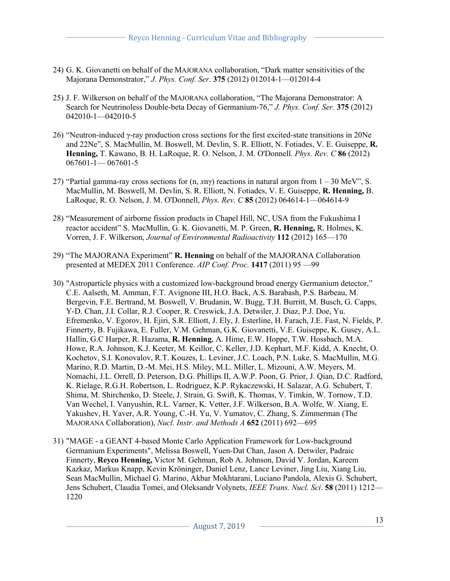- 24) G. K. Giovanetti on behalf of the MAJORANA collaboration, "Dark matter sensitivities of the Majorana Demonstrator," *J. Phys. Conf. Ser*. **375** (2012) 012014-1—012014-4
- 25) J. F. Wilkerson on behalf of the MAJORANA collaboration, "The Majorana Demonstrator: A Search for Neutrinoless Double-beta Decay of Germanium-76," *J. Phys. Conf. Ser.* **375** (2012) 042010-1—042010-5
- 26) "Neutron-induced γ-ray production cross sections for the first excited-state transitions in 20Ne and 22Ne", S. MacMullin, M. Boswell, M. Devlin, S. R. Elliott, N. Fotiades, V. E. Guiseppe, **R. Henning,** T. Kawano, B. H. LaRoque, R. O. Nelson, J. M. O'Donnell. *Phys. Rev. C* **86** (2012) 067601-1— 067601-5
- 27) "Partial gamma-ray cross sections for (n, *x*nγ) reactions in natural argon from 1 30 MeV", S. MacMullin, M. Boswell, M. Devlin, S. R. Elliott, N. Fotiades, V. E. Guiseppe, **R. Henning,** B. LaRoque, R. O. Nelson, J. M. O'Donnell, *Phys. Rev. C* **85** (2012) 064614-1—064614-9
- 28) "Measurement of airborne fission products in Chapel Hill, NC, USA from the Fukushima I reactor accident" S. MacMullin, G. K. Giovanetti, M. P. Green, **R. Henning,** R. Holmes, K. Vorren, J. F. Wilkerson, *Journal of Environmental Radioactivity* **112** (2012) 165—170
- 29) "The MAJORANA Experiment" **R. Henning** on behalf of the MAJORANA Collaboration presented at MEDEX 2011 Conference. *AIP Conf. Proc.* **1417** (2011) 95 —99
- 30) "Astroparticle physics with a customized low-background broad energy Germanium detector," C.E. Aalseth, M. Amman, F.T. Avignone III, H.O. Back, A.S. Barabash, P.S. Barbeau, M. Bergevin, F.E. Bertrand, M. Boswell, V. Brudanin, W. Bugg, T.H. Burritt, M. Busch, G. Capps, Y-D. Chan, J.I. Collar, R.J. Cooper, R. Creswick, J.A. Detwiler, J. Diaz, P.J. Doe, Yu. Efremenko, V. Egorov, H. Ejiri, S.R. Elliott, J. Ely, J. Esterline, H. Farach, J.E. Fast, N. Fields, P. Finnerty, B. Fujikawa, E. Fuller, V.M. Gehman, G.K. Giovanetti, V.E. Guiseppe, K. Gusey, A.L. Hallin, G.C Harper, R. Hazama, **R. Henning**, A. Hime, E.W. Hoppe, T.W. Hossbach, M.A. Howe, R.A. Johnson, K.J. Keeter, M. Keillor, C. Keller, J.D. Kephart, M.F. Kidd, A. Knecht, O. Kochetov, S.I. Konovalov, R.T. Kouzes, L. Leviner, J.C. Loach, P.N. Luke, S. MacMullin, M.G. Marino, R.D. Martin, D.-M. Mei, H.S. Miley, M.L. Miller, L. Mizouni, A.W. Meyers, M. Nomachi, J.L. Orrell, D. Peterson, D.G. Phillips II, A.W.P. Poon, G. Prior, J. Qian, D.C. Radford, K. Rielage, R.G.H. Robertson, L. Rodriguez, K.P. Rykaczewski, H. Salazar, A.G. Schubert, T. Shima, M. Shirchenko, D. Steele, J. Strain, G. Swift, K. Thomas, V. Timkin, W. Tornow, T.D. Van Wechel, I. Vanyushin, R.L. Varner, K. Vetter, J.F. Wilkerson, B.A. Wolfe, W. Xiang, E. Yakushev, H. Yaver, A.R. Young, C.-H. Yu, V. Yumatov, C. Zhang, S. Zimmerman (The MAJORANA Collaboration), *Nucl. Instr. and Methods A* **652** (2011) 692—695
- 31) "MAGE a GEANT 4-based Monte Carlo Application Framework for Low-background Germanium Experiments", Melissa Boswell, Yuen-Dat Chan, Jason A. Detwiler, Padraic Finnerty, **Reyco Henning,** Victor M. Gehman, Rob A. Johnson, David V. Jordan, Kareem Kazkaz, Markus Knapp, Kevin Kröninger, Daniel Lenz, Lance Leviner, Jing Liu, Xiang Liu, Sean MacMullin, Michael G. Marino, Akbar Mokhtarani, Luciano Pandola, Alexis G. Schubert, Jens Schubert, Claudia Tomei, and Oleksandr Volynets, *IEEE Trans. Nucl. Sci*. **58** (2011) 1212— 1220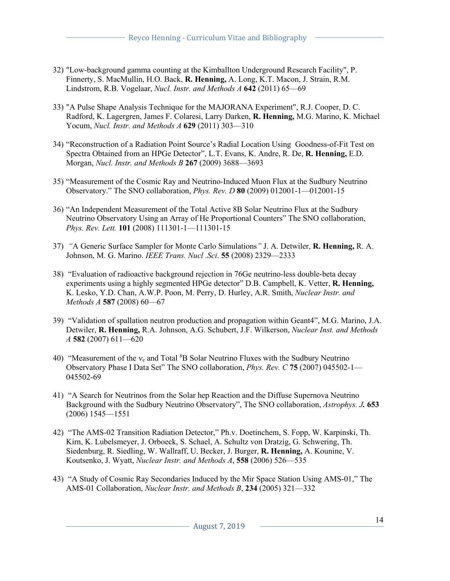- 32) "Low-background gamma counting at the Kimballton Underground Research Facility", P. Finnerty, S. MacMullin, H.O. Back, **R. Henning,** A. Long, K.T. Macon, J. Strain, R.M. Lindstrom, R.B. Vogelaar, *Nucl. Instr. and Methods A* **642** (2011) 65—69
- 33) "A Pulse Shape Analysis Technique for the MAJORANA Experiment", R.J. Cooper, D. C. Radford, K. Lagergren, James F. Colaresi, Larry Darken, **R. Henning,** M.G. Marino, K. Michael Yocum, *Nucl. Instr. and Methods A* **629** (2011) 303—310
- 34) "Reconstruction of a Radiation Point Source's Radial Location Using Goodness-of-Fit Test on Spectra Obtained from an HPGe Detector", L.T. Evans, K. Andre, R. De, **R. Henning,** E.D. Morgan, *Nucl. Instr. and Methods B* **267** (2009) 3688—3693
- 35) "Measurement of the Cosmic Ray and Neutrino-Induced Muon Flux at the Sudbury Neutrino Observatory." The SNO collaboration, *Phys. Rev. D* **80** (2009) 012001-1—012001-15
- 36) "An Independent Measurement of the Total Active 8B Solar Neutrino Flux at the Sudbury Neutrino Observatory Using an Array of He Proportional Counters" The SNO collaboration, *Phys. Rev. Lett.* **101** (2008) 111301-1—111301-15
- 37) *"*A Generic Surface Sampler for Monte Carlo Simulations*"* J. A. Detwiler, **R. Henning,** R. A. Johnson, M. G. Marino. *IEEE Trans. Nucl .Sci*. **55** (2008) 2329—2333
- 38) "Evaluation of radioactive background rejection in 76Ge neutrino-less double-beta decay experiments using a highly segmented HPGe detector" D.B. Campbell, K. Vetter, **R. Henning,**  K. Lesko, Y.D. Chan, A.W.P. Poon, M. Perry, D. Hurley, A.R. Smith, *Nuclear Instr. and Methods A* **587** (2008) 60—67
- 39) "Validation of spallation neutron production and propagation within Geant4", M.G. Marino, J.A. Detwiler, **R. Henning,** R.A. Johnson, A.G. Schubert, J.F. Wilkerson, *Nuclear Inst. and Methods A* **582** (2007) 611—620
- 40) "Measurement of the  $v_e$  and Total  ${}^{8}B$  Solar Neutrino Fluxes with the Sudbury Neutrino Observatory Phase I Data Set" The SNO collaboration, *Phys. Rev. C* **75** (2007) 045502-1— 045502-69
- 41) "A Search for Neutrinos from the Solar hep Reaction and the Diffuse Supernova Neutrino Background with the Sudbury Neutrino Observatory", The SNO collaboration, *Astrophys. J.* **653** (2006) 1545—1551
- 42) "The AMS-02 Transition Radiation Detector," Ph.v. Doetinchem, S. Fopp, W. Karpinski, Th. Kirn, K. Lubelsmeyer, J. Orboeck, S. Schael, A. Schultz von Dratzig, G. Schwering, Th. Siedenburg, R. Siedling, W. Wallraff, U. Becker, J. Burger, **R. Henning,** A. Kounine, V. Koutsenko, J. Wyatt, *Nuclear Instr. and Methods A*, **558** (2006) 526—535
- 43) "A Study of Cosmic Ray Secondaries Induced by the Mir Space Station Using AMS-01," The AMS-01 Collaboration, *Nuclear Instr. and Methods B*, **234** (2005) 321—332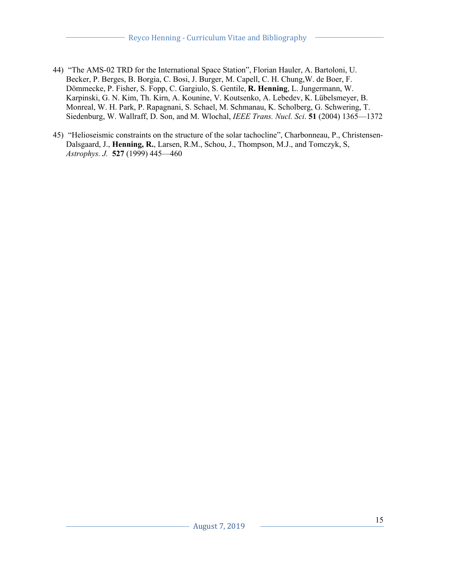- 44) "The AMS-02 TRD for the International Space Station", Florian Hauler, A. Bartoloni, U. Becker, P. Berges, B. Borgia, C. Bosi, J. Burger, M. Capell, C. H. Chung,W. de Boer, F. Dömmecke, P. Fisher, S. Fopp, C. Gargiulo, S. Gentile, **R. Henning**, L. Jungermann, W. Karpinski, G. N. Kim, Th. Kirn, A. Kounine, V. Koutsenko, A. Lebedev, K. Lübelsmeyer, B. Monreal, W. H. Park, P. Rapagnani, S. Schael, M. Schmanau, K. Scholberg, G. Schwering, T. Siedenburg, W. Wallraff, D. Son, and M. Wlochal, *IEEE Trans. Nucl. Sci*. **51** (2004) 1365—1372
- 45) "Helioseismic constraints on the structure of the solar tachocline", Charbonneau, P., Christensen-Dalsgaard, J., **Henning, R.**, Larsen, R.M., Schou, J., Thompson, M.J., and Tomczyk, S, *Astrophys. J.* **527** (1999) 445—460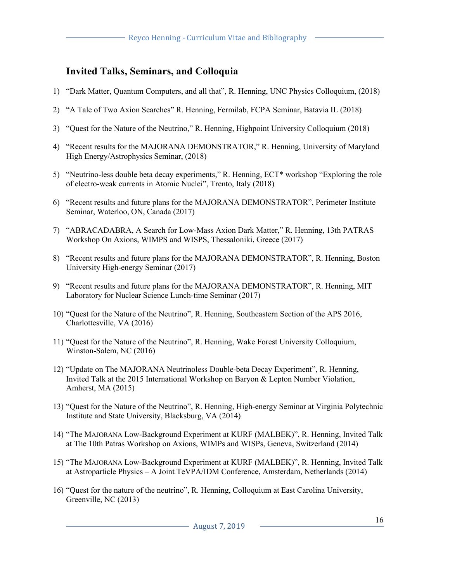## **Invited Talks, Seminars, and Colloquia**

- 1) "Dark Matter, Quantum Computers, and all that", R. Henning, UNC Physics Colloquium, (2018)
- 2) "A Tale of Two Axion Searches" R. Henning, Fermilab, FCPA Seminar, Batavia IL (2018)
- 3) "Quest for the Nature of the Neutrino," R. Henning, Highpoint University Colloquium (2018)
- 4) "Recent results for the MAJORANA DEMONSTRATOR," R. Henning, University of Maryland High Energy/Astrophysics Seminar, (2018)
- 5) "Neutrino-less double beta decay experiments," R. Henning, ECT\* workshop "Exploring the role of electro-weak currents in Atomic Nuclei", Trento, Italy (2018)
- 6) "Recent results and future plans for the MAJORANA DEMONSTRATOR", Perimeter Institute Seminar, Waterloo, ON, Canada (2017)
- 7) "ABRACADABRA, A Search for Low-Mass Axion Dark Matter," R. Henning, 13th PATRAS Workshop On Axions, WIMPS and WISPS, Thessaloniki, Greece (2017)
- 8) "Recent results and future plans for the MAJORANA DEMONSTRATOR", R. Henning, Boston University High-energy Seminar (2017)
- 9) "Recent results and future plans for the MAJORANA DEMONSTRATOR", R. Henning, MIT Laboratory for Nuclear Science Lunch-time Seminar (2017)
- 10) "Quest for the Nature of the Neutrino", R. Henning, Southeastern Section of the APS 2016, Charlottesville, VA (2016)
- 11) "Quest for the Nature of the Neutrino", R. Henning, Wake Forest University Colloquium, Winston-Salem, NC (2016)
- 12) "Update on The MAJORANA Neutrinoless Double-beta Decay Experiment", R. Henning, Invited Talk at the 2015 International Workshop on Baryon & Lepton Number Violation, Amherst, MA (2015)
- 13) "Quest for the Nature of the Neutrino", R. Henning, High-energy Seminar at Virginia Polytechnic Institute and State University, Blacksburg, VA (2014)
- 14) "The MAJORANA Low-Background Experiment at KURF (MALBEK)", R. Henning, Invited Talk at The 10th Patras Workshop on Axions, WIMPs and WISPs, Geneva, Switzerland (2014)
- 15) "The MAJORANA Low-Background Experiment at KURF (MALBEK)", R. Henning, Invited Talk at Astroparticle Physics – A Joint TeVPA/IDM Conference, Amsterdam, Netherlands (2014)
- 16) "Quest for the nature of the neutrino", R. Henning, Colloquium at East Carolina University, Greenville, NC (2013)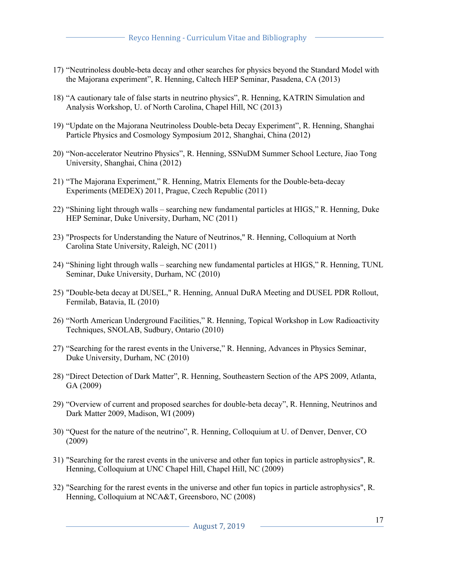- 17) "Neutrinoless double-beta decay and other searches for physics beyond the Standard Model with the Majorana experiment", R. Henning, Caltech HEP Seminar, Pasadena, CA (2013)
- 18) "A cautionary tale of false starts in neutrino physics", R. Henning, KATRIN Simulation and Analysis Workshop, U. of North Carolina, Chapel Hill, NC (2013)
- 19) "Update on the Majorana Neutrinoless Double-beta Decay Experiment", R. Henning, Shanghai Particle Physics and Cosmology Symposium 2012, Shanghai, China (2012)
- 20) "Non-accelerator Neutrino Physics", R. Henning, SSNuDM Summer School Lecture, Jiao Tong University, Shanghai, China (2012)
- 21) "The Majorana Experiment," R. Henning, Matrix Elements for the Double-beta-decay Experiments (MEDEX) 2011, Prague, Czech Republic (2011)
- 22) "Shining light through walls searching new fundamental particles at HIGS," R. Henning, Duke HEP Seminar, Duke University, Durham, NC (2011)
- 23) "Prospects for Understanding the Nature of Neutrinos," R. Henning, Colloquium at North Carolina State University, Raleigh, NC (2011)
- 24) "Shining light through walls searching new fundamental particles at HIGS," R. Henning, TUNL Seminar, Duke University, Durham, NC (2010)
- 25) "Double-beta decay at DUSEL," R. Henning, Annual DuRA Meeting and DUSEL PDR Rollout, Fermilab, Batavia, IL (2010)
- 26) "North American Underground Facilities," R. Henning, Topical Workshop in Low Radioactivity Techniques, SNOLAB, Sudbury, Ontario (2010)
- 27) "Searching for the rarest events in the Universe," R. Henning, Advances in Physics Seminar, Duke University, Durham, NC (2010)
- 28) "Direct Detection of Dark Matter", R. Henning, Southeastern Section of the APS 2009, Atlanta, GA (2009)
- 29) "Overview of current and proposed searches for double-beta decay", R. Henning, Neutrinos and Dark Matter 2009, Madison, WI (2009)
- 30) "Quest for the nature of the neutrino", R. Henning, Colloquium at U. of Denver, Denver, CO (2009)
- 31) "Searching for the rarest events in the universe and other fun topics in particle astrophysics", R. Henning, Colloquium at UNC Chapel Hill, Chapel Hill, NC (2009)
- 32) "Searching for the rarest events in the universe and other fun topics in particle astrophysics", R. Henning, Colloquium at NCA&T, Greensboro, NC (2008)